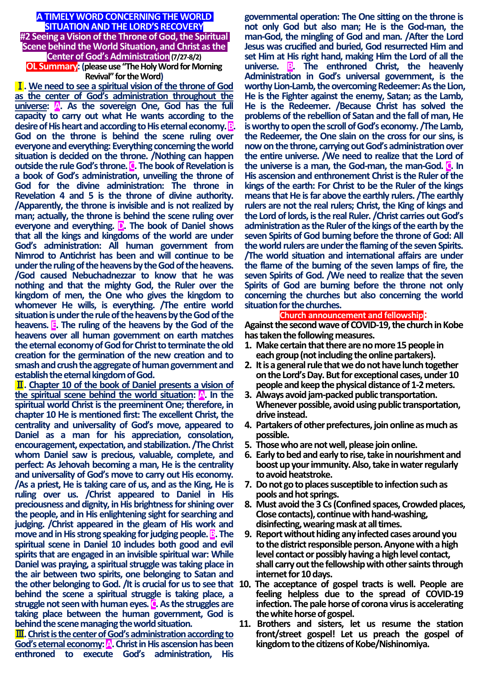#### **A TIMELY WORD CONCERNING THE WORLD SITUATION AND THE LORD'S RECOVERY #2 Seeing a Vision of the Throne of God, the Spiritual Scene behind the World Situation, and Christ as the Center of God's Administration(7/27-8/2)**

## **OL Summary:(please use "The Holy Word for Morning Revival" for the Word)**

Ⅰ**. We need to see a spiritual vision of the throne of God as the center of God's administration throughout the**  universe: **A.** As the sovereign One, God has the full **capacity to carry out what He wants according to the desire of His heart and according to His eternal economy. God on the throne is behind the scene ruling over everyone and everything: Everything concerning the world situation is decided on the throne. /Nothing can happen outside the rule God's throne. C. The book of Revelation is a book of God's administration, unveiling the throne of God for the divine administration: The throne in Revelation 4 and 5 is the throne of divine authority. /Apparently, the throne is invisible and is not realized by man; actually, the throne is behind the scene ruling over everyone and everything. D. The book of Daniel shows that all the kings and kingdoms of the world are under God's administration: All human government from Nimrod to Antichrist has been and will continue to be under the ruling of the heavens by the God of the heavens. /God caused Nebuchadnezzar to know that he was nothing and that the mighty God, the Ruler over the kingdom of men, the One who gives the kingdom to whomever He wills, is everything. /The entire world situation is under the rule of the heavens by the God of the heavens. E. The ruling of the heavens by the God of the heavens over all human government on earth matches the eternal economy of God for Christ to terminate the old creation for the germination of the new creation and to smash and crush the aggregate of human government and establish the eternal kingdom of God.**

Ⅱ**. Chapter 10 of the book of Daniel presents a vision of the spiritual scene behind the world situation: A. In the spiritual world Christ is the preeminent One; therefore, in chapter 10 He is mentioned first: The excellent Christ, the centrality and universality of God's move, appeared to Daniel as a man for his appreciation, consolation, encouragement, expectation, and stabilization. /The Christ whom Daniel saw is precious, valuable, complete, and perfect: As Jehovah becoming a man, He is the centrality and universality of God's move to carry out His economy. /As a priest, He is taking care of us, and as the King, He is ruling over us. /Christ appeared to Daniel in His preciousness and dignity, in His brightness for shining over the people, and in His enlightening sight for searching and judging. /Christ appeared in the gleam of His work and move and in His strong speaking for judging people. <b>B**. The **spiritual scene in Daniel 10 includes both good and evil spirits that are engaged in an invisible spiritual war: While Daniel was praying, a spiritual struggle was taking place in the air between two spirits, one belonging to Satan and the other belonging to God. /It is crucial for us to see that 10**.**The acceptance of gospel tracts is well. People are behind the scene a spiritual struggle is taking place, a**  struggle not seen with human eyes. **C**. As the struggles are **taking place between the human government, God is behind the scene managing the world situation.**

Ⅲ**. Christ is the center of God's administration according to God's eternal economy:** A. Christ in His ascension has been **enthroned to execute God's administration, His**  **governmental operation: The One sitting on the throne is not only God but also man; He is the God-man, the man-God, the mingling of God and man. /After the Lord Jesus was crucified and buried, God resurrected Him and set Him at His right hand, making Him the Lord of all the universe. B. The enthroned Christ, the heavenly Administration in God's universal government, is the worthy Lion-Lamb, the overcoming Redeemer: As the Lion, He is the Fighter against the enemy, Satan; as the Lamb, He is the Redeemer. /Because Christ has solved the problems of the rebellion of Satan and the fall of man, He is worthy to open the scroll of God's economy. /The Lamb, the Redeemer, the One slain on the cross for our sins, is now on the throne, carrying out God's administration over the entire universe. /We need to realize that the Lord of the universe is a man, the God-man, the man-God. C. In His ascension and enthronement Christ is the Ruler of the kings of the earth: For Christ to be the Ruler of the kings means that He is far above the earthly rulers. /The earthly rulers are not the real rulers; Christ, the King of kings and the Lord of lords, is the real Ruler. /Christ carries out God's administration as the Ruler of the kings of the earth by the seven Spirits of God burning before the throne of God: All the world rulers are under the flaming of the seven Spirits. /The world situation and international affairs are under the flame of the burning of the seven lamps of fire, the seven Spirits of God. /We need to realize that the seven Spirits of God are burning before the throne not only concerning the churches but also concerning the world situation for the churches.**

### **Church announcement and fellowship**:

**Against the second wave of COVID-19, the church in Kobe has taken the following measures.**

- **1. Make certain that there are no more 15 people in each group (not including the online partakers).**
- **2. It is a general rule that we do not have lunch together on the Lord's Day. But for exceptional cases, under 10 people and keep the physical distance of 1-2 meters.**
- **3. Always avoid jam-packed public transportation. Whenever possible, avoid using public transportation, drive instead.**
- **4. Partakers of other prefectures, join online as much as possible.**
- **5. Those who are not well, please join online.**
- **6. Early to bed and early to rise, take in nourishment and boost up your immunity. Also, take in water regularly to avoid heatstroke.**
- **7. Do not go to places susceptible to infection such as pools and hot springs.**
- **8. Must avoid the 3 Cs (Confined spaces, Crowded places, Close contacts), continue with hand-washing, disinfecting, wearing mask at all times.**
- **9. Report without hiding any infected cases around you to the district responsible person. Anyone with a high level contact or possibly having a high level contact, shall carry out the fellowship with other saints through internet for 10 days.**
- **feeling helpless due to the spread of COVID-19 infection. The pale horse of corona virus is accelerating the white horse of gospel.**
- **11. Brothers and sisters, let us resume the station front/street gospel! Let us preach the gospel of kingdom to the citizens of Kobe/Nishinomiya.**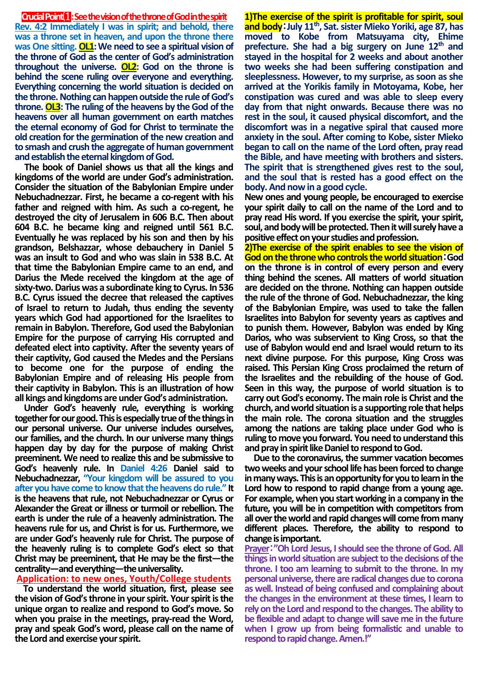#### **CrucialPoint**⑴**:See the vision of the throne of God in the spirit**

**Rev. 4:2 Immediately I was in spirit; and behold, there was a throne set in heaven, and upon the throne there**  was One sitting. **OL1**: We need to see a spiritual vision of **the throne of God as the center of God's administration throughout the universe. OL2: God on the throne is behind the scene ruling over everyone and everything. Everything concerning the world situation is decided on the throne. Nothing can happen outside the rule of God's throne. OL3: The ruling of the heavens by the God of the heavens over all human government on earth matches the eternal economy of God for Christ to terminate the old creation for the germination of the new creation and to smash and crush the aggregate of human government and establish the eternal kingdom of God.**

**The book of Daniel shows us that all the kings and kingdoms of the world are under God's administration. Consider the situation of the Babylonian Empire under Nebuchadnezzar. First, he became a co-regent with his father and reigned with him. As such a co-regent, he destroyed the city of Jerusalem in 606 B.C. Then about 604 B.C. he became king and reigned until 561 B.C. Eventually he was replaced by his son and then by his grandson, Belshazzar, whose debauchery in Daniel 5 was an insult to God and who was slain in 538 B.C. At that time the Babylonian Empire came to an end, and Darius the Mede received the kingdom at the age of sixty-two. Darius was a subordinate king to Cyrus. In 536 B.C. Cyrus issued the decree that released the captives of Israel to return to Judah, thus ending the seventy years which God had apportioned for the Israelites to remain in Babylon. Therefore, God used the Babylonian Empire for the purpose of carrying His corrupted and defeated elect into captivity. After the seventy years of their captivity, God caused the Medes and the Persians to become one for the purpose of ending the Babylonian Empire and of releasing His people from their captivity in Babylon. This is an illustration of how all kings and kingdoms are under God's administration.**

**Under God's heavenly rule, everything is working together for our good. This is especially true of the things in our personal universe. Our universe includes ourselves, our families, and the church. In our universe many things happen day by day for the purpose of making Christ preeminent. We need to realize this and be submissive to God's heavenly rule. In Daniel 4:26 Daniel said to Nebuchadnezzar, "Your kingdom will be assured to you after you have come to know that the heavens do rule." It is the heavens that rule, not Nebuchadnezzar or Cyrus or Alexander the Great or illness or turmoil or rebellion. The earth is under the rule of a heavenly administration. The heavens rule for us, and Christ is for us. Furthermore, we are under God's heavenly rule for Christ. The purpose of the heavenly ruling is to complete God's elect so that Christ may be preeminent, that He may be the first—the centrality—and everything—the universality.**

#### **Application: to new ones, Youth/College students**

**To understand the world situation, first, please see the vision of God's throne in your spirit. Your spirit is the unique organ to realize and respond to God's move. So when you praise in the meetings, pray-read the Word, pray and speak God's word, please call on the name of the Lord and exercise your spirit.** 

**1)The exercise of the spirit is profitable for spirit, soul and body**:**July 11th, Sat. sister Mieko Yoriki, age 87, has moved to Kobe from Matsuyama city, Ehime prefecture. She had a big surgery on June 12th and stayed in the hospital for 2 weeks and about another two weeks she had been suffering constipation and sleeplessness. However, to my surprise, as soon as she arrived at the Yorikis family in Motoyama, Kobe, her constipation was cured and was able to sleep every day from that night onwards. Because there was no rest in the soul, it caused physical discomfort, and the discomfort was in a negative spiral that caused more anxiety in the soul. After coming to Kobe, sister Mieko began to call on the name of the Lord often, pray read the Bible, and have meeting with brothers and sisters. The spirit that is strengthened gives rest to the soul, and the soul that is rested has a good effect on the body.And now in a good cycle.**

**New ones and young people, be encouraged to exercise your spirit daily to call on the name of the Lord and to pray read His word. If you exercise the spirit, your spirit, soul, and body will be protected. Then it will surely have a positive effect on your studies and profession.**

**2)The exercise of the spirit enables to see the vision of God on the throne who controls the world situation**:**God on the throne is in control of every person and every thing behind the scenes. All matters of world situation are decided on the throne. Nothing can happen outside the rule of the throne of God. Nebuchadnezzar, the king of the Babylonian Empire, was used to take the fallen Israelites into Babylon for seventy years as captives and to punish them. However, Babylon was ended by King Darios, who was subservient to King Cross, so that the use of Babylon would end and Israel would return to its next divine purpose. For this purpose, King Cross was raised. This Persian King Cross proclaimed the return of the Israelites and the rebuilding of the house of God. Seen in this way, the purpose of world situation is to carry out God's economy. The main role is Christ and the**  church, and world situation is a supporting role that helps **the main role. The corona situation and the struggles among the nations are taking place under God who is ruling to move you forward. You need to understand this and pray in spirit like Daniel to respond to God.**

**Due to the coronavirus, the summer vacation becomes two weeks and yourschool life has been forced to change in many ways. This is an opportunity for you to learn in the Lord how to respond to rapid change from a young age. For example, when you start working in a company in the future, you will be in competition with competitors from all over the world and rapid changes will come from many different places. Therefore, the ability to respond to change is important.**

**Prayer**:**"Oh Lord Jesus, I should see the throne of God. All things in world situation are subject to the decisions of the throne. I too am learning to submit to the throne. In my personal universe, there are radical changes due to corona as well. Instead of being confused and complaining about the changes in the environment at these times, I learn to rely on the Lord and respond to the changes. The ability to be flexible and adapt to change will save me in the future when I grow up from being formalistic and unable to respond to rapid change. Amen.!"**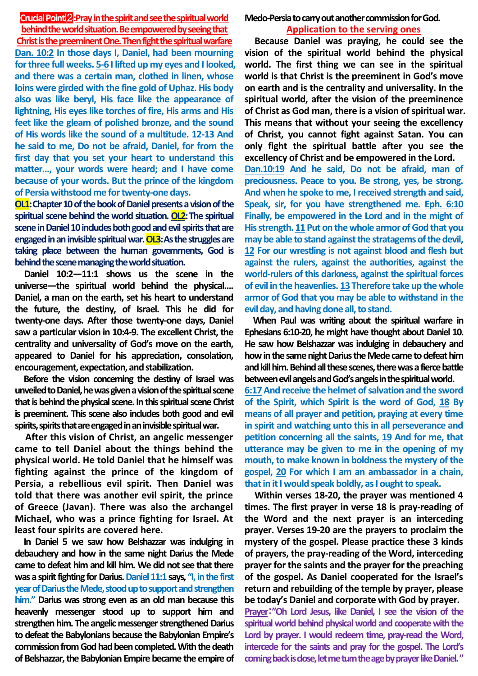# **Crucial Point**⑵**:Pray in the spirit and see the spiritual world**

**behind the world situation. Be empowered by seeing that Christ is the preeminent One. Then fight the spiritual warfare Dan. 10:2 In those days I, Daniel, had been mourning for three full weeks. 5-6 I lifted up my eyes and I looked, and there was a certain man, clothed in linen, whose loins were girded with the fine gold of Uphaz. His body also was like beryl, His face like the appearance of lightning, His eyes like torches of fire, His arms and His feet like the gleam of polished bronze, and the sound of His words like the sound of a multitude. 12-13 And he said to me, Do not be afraid, Daniel, for from the first day that you set your heart to understand this matter…, your words were heard; and I have come because of your words. But the prince of the kingdom of Persia withstood me for twenty-one days.**

**OL1:Chapter 10 of the book of Daniel presents a vision of the spiritual scene behind the world situation. OL2:The spiritual scene in Daniel 10 includes both good and evil spirits that are engaged in an invisible spiritual war. OL3:As the struggles are taking place between the human governments, God is behind the scene managing the world situation.**

**Daniel 10:2—11:1 shows us the scene in the universe—the spiritual world behind the physical…. Daniel, a man on the earth, set his heart to understand the future, the destiny, of Israel. This he did for twenty-one days. After those twenty-one days, Daniel saw a particular vision in 10:4-9. The excellent Christ, the centrality and universality of God's move on the earth, appeared to Daniel for his appreciation, consolation, encouragement, expectation, and stabilization.** 

**Before the vision concerning the destiny of Israel was unveiled to Daniel, he was given a vision of the spiritual scene that is behind the physical scene. In this spiritual scene Christ is preeminent. This scene also includes both good and evil spirits, spirits that are engaged in an invisiblespiritual war.** 

**After this vision of Christ, an angelic messenger came to tell Daniel about the things behind the physical world. He told Daniel that he himself was fighting against the prince of the kingdom of Persia, a rebellious evil spirit. Then Daniel was told that there was another evil spirit, the prince of Greece (Javan). There was also the archangel Michael, who was a prince fighting for Israel. At least four spirits are covered here.**

**In Daniel 5 we saw how Belshazzar was indulging in debauchery and how in the same night Darius the Mede came to defeat him and kill him. We did not see that there was a spirit fighting for Darius. Daniel 11:1 says, "I, in the first year of Darius the Mede, stood up to support and strengthen him." Darius was strong even as an old man because this heavenly messenger stood up to support him and strengthen him. The angelic messenger strengthened Darius to defeat the Babylonians because the Babylonian Empire's commission from God had been completed. With the death of Belshazzar, the Babylonian Empire became the empire of**  **Medo-Persia to carry out another commission for God.**

# **Application to the serving ones**

**Because Daniel was praying, he could see the vision of the spiritual world behind the physical world. The first thing we can see in the spiritual world is that Christ is the preeminent in God's move on earth and is the centrality and universality. In the spiritual world, after the vision of the preeminence of Christ as God man, there is a vision of spiritual war. This means that without your seeing the excellency of Christ, you cannot fight against Satan. You can only fight the spiritual battle after you see the excellency of Christ and be empowered in the Lord.** 

**Dan.10:19 And he said, Do not be afraid, man of preciousness. Peace to you. Be strong, yes, be strong. And when he spoke to me, I received strength and said, Speak, sir, for you have strengthened me. Eph. 6:10 Finally, be empowered in the Lord and in the might of His strength. 11 Put on the whole armor of God that you may be able to stand against the stratagems of the devil, 12 For our wrestling is not against blood and flesh but against the rulers, against the authorities, against the world-rulers of this darkness, against the spiritual forces of evil in the heavenlies. 13 Therefore take up the whole armor of God that you may be able to withstand in the evil day, and having done all, to stand.**

**When Paul was writing about the spiritual warfare in Ephesians 6:10-20, he might have thought about Daniel 10. He saw how Belshazzar was indulging in debauchery and how in the same night Darius the Mede came to defeat him and kill him. Behind all these scenes, there was a fierce battle between evil angels and God's angels in the spiritual world. 6:17And receive the helmet of salvation and the sword** 

**of the Spirit, which Spirit is the word of God, 18 By means of all prayer and petition, praying at every time in spirit and watching unto this in all perseverance and petition concerning all the saints, 19 And for me, that utterance may be given to me in the opening of my mouth, to make known in boldness the mystery of the gospel, 20 For which I am an ambassador in a chain, that in it I would speak boldly, as I ought to speak.** 

**Within verses 18-20, the prayer was mentioned 4 times. The first prayer in verse 18 is pray-reading of the Word and the next prayer is an interceding prayer. Verses 19-20 are the prayers to proclaim the mystery of the gospel. Please practice these 3 kinds of prayers, the pray-reading of the Word, interceding prayer for the saints and the prayer for the preaching of the gospel. As Daniel cooperated for the Israel's return and rebuilding of the temple by prayer, please be today's Daniel and corporate with God by prayer.** 

**Prayer**:**"Oh Lord Jesus, like Daniel, I see the vision of the spiritual world behind physical world and cooperate with the Lord by prayer. I would redeem time, pray-read the Word, intercede for the saints and pray for the gospel. The Lord's coming back is close, let me turn the age by prayer like Daniel. "**